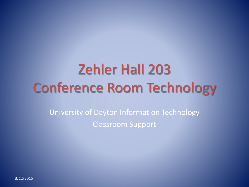# Zehler Hall 203 Conference Room Technology

University of Dayton Information Technology Classroom Support

3/12/2015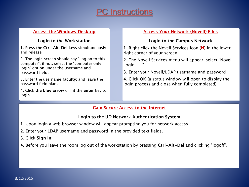## **C** Instructions

#### **Access the Windows Desktop**

#### **Login to the Workstation**

1. Press the **Ctrl+Alt+Del** keys simultaneously and release

2. The login screen should say "Log on to this computer", if not, select the "computer only login" option under the username and password fields.

3. Enter the username **faculty**; and leave the password field blank

4. Click **the blue arrow** or hit the **enter** key to login

#### **Access Your Network (Novell) Files**

#### **Login to the Campus Network**

1. Right-click the Novell Services icon (**N**) in the lower right corner of your screen

2. The Novell Services menu will appear; select "Novell Login . . ."

3. Enter your Novell/LDAP username and password

4. Click **OK** (a status window will open to display the login process and close when fully completed)

#### **Gain Secure Access to the Internet**

#### **Login to the UD Network Authentication System**

- 1. Upon login a web browser window will appear prompting you for network access.
- 2. Enter your LDAP username and password in the provided text fields.
- 3. Click **Sign in**
- 4. Before you leave the room log out of the workstation by pressing **Ctrl+Alt+Del** and clicking "logoff".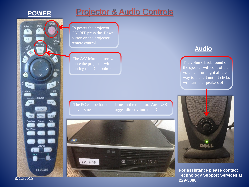

Page

ON.

ESC

Comp

Video Auto

Source ...

EasyMP S-Video

Preset

Volume

**EPSON** 

Num

一

Help

 $\circ$ 

E-Zoom

 $\bullet$ 

Enter

DVI

Preview

**Wall Sho** 

Menu

## **Projector & Audio Controls**

To power the projector ON/OFF press the **Power**  button on the projector remote control.

The **A/V Mute** button will

The PC can be found underneath the monitor. Any USB



### **Audio**

The volume knob found on the speaker will control the volume. Turning it all the way to the left until it clicks will turn the speakers off.



**For assistance please contact Technology Support Services at 229-3888.**

3/12/2015